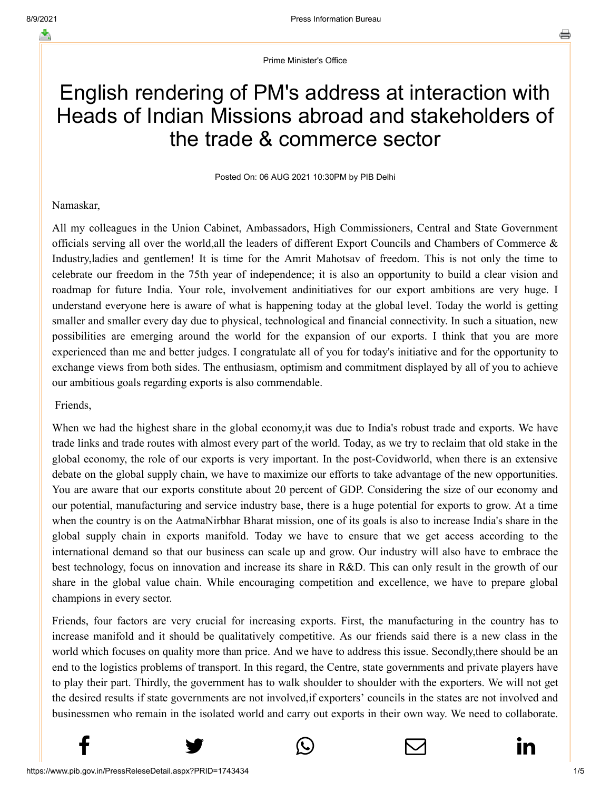Prime Minister's Office

# English rendering of PM's address at interaction with Heads of Indian Missions abroad and stakeholders of the trade & commerce sector

Posted On: 06 AUG 2021 10:30PM by PIB Delhi

## Namaskar,

All my colleagues in the Union Cabinet, Ambassadors, High Commissioners, Central and State Government officials serving all over the world,all the leaders of different Export Councils and Chambers of Commerce & Industry,ladies and gentlemen! It is time for the Amrit Mahotsav of freedom. This is not only the time to celebrate our freedom in the 75th year of independence; it is also an opportunity to build a clear vision and roadmap for future India. Your role, involvement and initiatives for our export ambitions are very huge. I understand everyone here is aware of what is happening today at the global level. Today the world is getting smaller and smaller every day due to physical, technological and financial connectivity. In such a situation, new possibilities are emerging around the world for the expansion of our exports. I think that you are more experienced than me and better judges. I congratulate all of you for today's initiative and for the opportunity to exchange views from both sides. The enthusiasm, optimism and commitment displayed by all of you to achieve our ambitious goals regarding exports is also commendable.

Friends,

When we had the highest share in the global economy, it was due to India's robust trade and exports. We have trade links and trade routes with almost every part of the world. Today, as we try to reclaim that old stake in the global economy, the role of our exports is very important. In the post-Covidworld, when there is an extensive debate on the global supply chain, we have to maximize our efforts to take advantage of the new opportunities. You are aware that our exports constitute about 20 percent of GDP. Considering the size of our economy and our potential, manufacturing and service industry base, there is a huge potential for exports to grow. At a time when the country is on the AatmaNirbhar Bharat mission, one of its goals is also to increase India's share in the global supply chain in exports manifold. Today we have to ensure that we get access according to the international demand so that our business can scale up and grow. Our industry will also have to embrace the best technology, focus on innovation and increase its share in R&D. This can only result in the growth of our share in the global value chain. While encouraging competition and excellence, we have to prepare global champions in every sector.

Friends, four factors are very crucial for increasing exports. First, the manufacturing in the country has to increase manifold and it should be qualitatively competitive. As our friends said there is a new class in the world which focuses on quality more than price. And we have to address this issue. Secondly,there should be an end to the logistics problems of transport. In this regard, the Centre, state governments and private players have to play their part. Thirdly, the government has to walk shoulder to shoulder with the exporters. We will not get the desired results if state governments are not involved,if exporters' councils in the states are not involved and businessmen who remain in the isolated world and carry out exports in their own way. We need to collaborate.





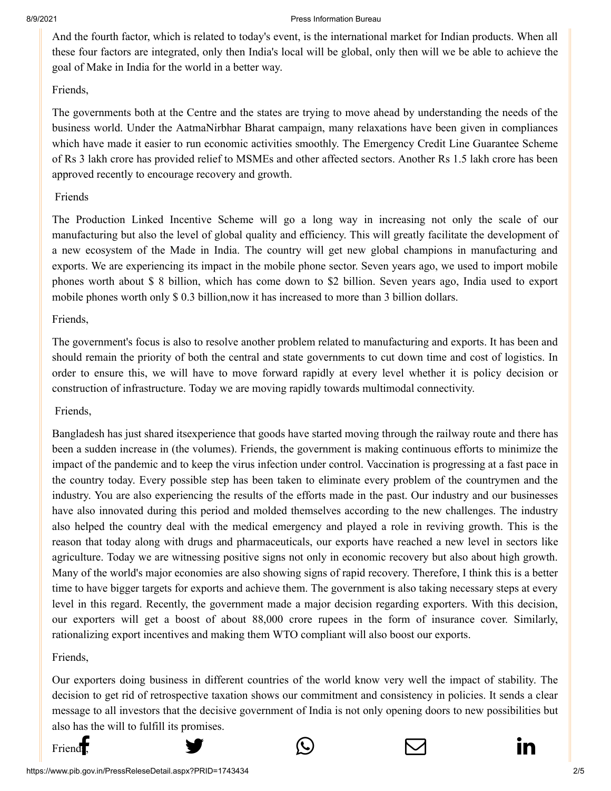#### 8/9/2021 Press Information Bureau

[And the fourth fact](http://www.facebook.com/share.php?u=https://pib.gov.in/PressReleasePage.aspx?PRID=1743434)[or, which is related to to](https://twitter.com/intent/tweet?url=https://pib.gov.in/PressReleasePage.aspx?PRID=1743434&text=English%20rendering%20of%20PM)[day's event, is the interna](https://api.whatsapp.com/send?text=https://pib.gov.in/PressReleasePage.aspx?PRID=1743434)[tional market for Indian](https://mail.google.com/mail/?view=cm&fs=1&tf=1&to=&su=English%20rendering%20of%20PM) [products. When all](https://www.linkedin.com/shareArticle?mini=true&url=https://pib.gov.in/PressReleasePage.aspx?PRID=1743434&title=English%20rendering%20of%20PM) these four factors are integrated, only then India's local will be global, only then will we be able to achieve the goal of Make in India for the world in a better way.

## Friends,

The governments both at the Centre and the states are trying to move ahead by understanding the needs of the business world. Under the AatmaNirbhar Bharat campaign, many relaxations have been given in compliances which have made it easier to run economic activities smoothly. The Emergency Credit Line Guarantee Scheme of Rs 3 lakh crore has provided relief to MSMEs and other affected sectors. Another Rs 1.5 lakh crore has been approved recently to encourage recovery and growth.

## Friends

The Production Linked Incentive Scheme will go a long way in increasing not only the scale of our manufacturing but also the level of global quality and efficiency. This will greatly facilitate the development of a new ecosystem of the Made in India. The country will get new global champions in manufacturing and exports. We are experiencing its impact in the mobile phone sector. Seven years ago, we used to import mobile phones worth about \$ 8 billion, which has come down to \$2 billion. Seven years ago, India used to export mobile phones worth only \$ 0.3 billion,now it has increased to more than 3 billion dollars.

## Friends,

The government's focus is also to resolve another problem related to manufacturing and exports. It has been and should remain the priority of both the central and state governments to cut down time and cost of logistics. In order to ensure this, we will have to move forward rapidly at every level whether it is policy decision or construction of infrastructure. Today we are moving rapidly towards multimodal connectivity.

## Friends,

Bangladesh has just shared itsexperience that goods have started moving through the railway route and there has been a sudden increase in (the volumes). Friends, the government is making continuous efforts to minimize the impact of the pandemic and to keep the virus infection under control. Vaccination is progressing at a fast pace in the country today. Every possible step has been taken to eliminate every problem of the countrymen and the industry. You are also experiencing the results of the efforts made in the past. Our industry and our businesses have also innovated during this period and molded themselves according to the new challenges. The industry also helped the country deal with the medical emergency and played a role in reviving growth. This is the reason that today along with drugs and pharmaceuticals, our exports have reached a new level in sectors like agriculture. Today we are witnessing positive signs not only in economic recovery but also about high growth. Many of the world's major economies are also showing signs of rapid recovery. Therefore, I think this is a better time to have bigger targets for exports and achieve them. The government is also taking necessary steps at every level in this regard. Recently, the government made a major decision regarding exporters. With this decision, our exporters will get a boost of about 88,000 crore rupees in the form of insurance cover. Similarly, rationalizing export incentives and making them WTO compliant will also boost our exports.

## Friends,

Our exporters doing business in different countries of the world know very well the impact of stability. The decision to get rid of retrospective taxation shows our commitment and consistency in policies. It sends a clear message to all investors that the decisive government of India is not only opening doors to new possibilities but [also has the will to](http://www.facebook.com/share.php?u=https://pib.gov.in/PressReleasePage.aspx?PRID=1743434) [fulfill its promises.](https://twitter.com/intent/tweet?url=https://pib.gov.in/PressReleasePage.aspx?PRID=1743434&text=English%20rendering%20of%20PM)

Friend  $f$ , and  $f$ , and  $f$  in  $f$  in  $f$  in  $f$  in  $f$  in  $f$  in  $f$  in  $f$  in  $f$  in  $f$  in  $f$  in  $f$  in  $f$  in  $f$  in  $f$  in  $f$  in  $f$  in  $f$  in  $f$  in  $f$  in  $f$  in  $f$  in  $f$  in  $f$  in  $f$  in  $f$  in  $f$  in  $f$  in

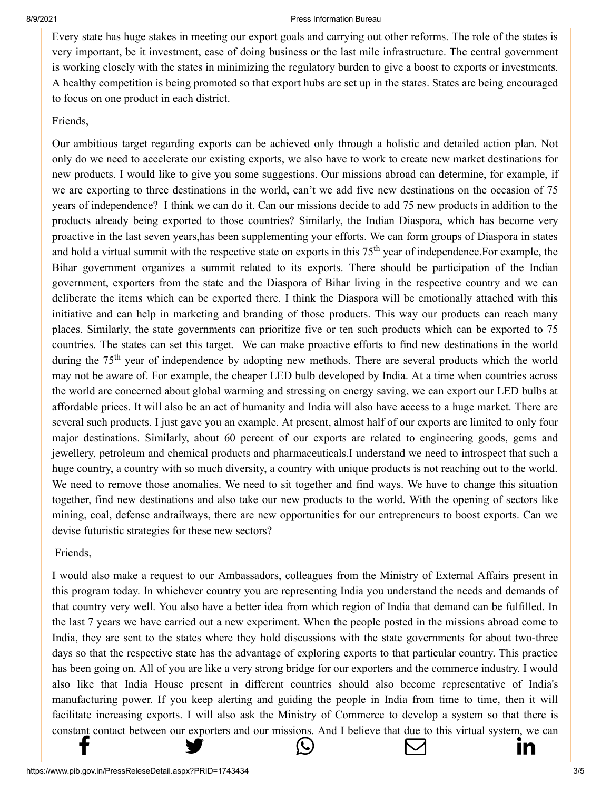#### 8/9/2021 Press Information Bureau

[Every state has hug](http://www.facebook.com/share.php?u=https://pib.gov.in/PressReleasePage.aspx?PRID=1743434)e [stakes in meeting our](https://twitter.com/intent/tweet?url=https://pib.gov.in/PressReleasePage.aspx?PRID=1743434&text=English%20rendering%20of%20PM) [export goals and carryin](https://api.whatsapp.com/send?text=https://pib.gov.in/PressReleasePage.aspx?PRID=1743434)[g out other reforms. The](https://mail.google.com/mail/?view=cm&fs=1&tf=1&to=&su=English%20rendering%20of%20PM) [role of the states is](https://www.linkedin.com/shareArticle?mini=true&url=https://pib.gov.in/PressReleasePage.aspx?PRID=1743434&title=English%20rendering%20of%20PM) very important, be it investment, ease of doing business or the last mile infrastructure. The central government is working closely with the states in minimizing the regulatory burden to give a boost to exports or investments. A healthy competition is being promoted so that export hubs are set up in the states. States are being encouraged to focus on one product in each district.

### Friends,

Our ambitious target regarding exports can be achieved only through a holistic and detailed action plan. Not only do we need to accelerate our existing exports, we also have to work to create new market destinations for new products. I would like to give you some suggestions. Our missions abroad can determine, for example, if we are exporting to three destinations in the world, can't we add five new destinations on the occasion of 75 years of independence? I think we can do it. Can our missions decide to add 75 new products in addition to the products already being exported to those countries? Similarly, the Indian Diaspora, which has become very proactive in the last seven years,has been supplementing your efforts. We can form groups of Diaspora in states and hold a virtual summit with the respective state on exports in this  $75<sup>th</sup>$  year of independence. For example, the Bihar government organizes a summit related to its exports. There should be participation of the Indian government, exporters from the state and the Diaspora of Bihar living in the respective country and we can deliberate the items which can be exported there. I think the Diaspora will be emotionally attached with this initiative and can help in marketing and branding of those products. This way our products can reach many places. Similarly, the state governments can prioritize five or ten such products which can be exported to 75 countries. The states can set this target. We can make proactive efforts to find new destinations in the world during the 75<sup>th</sup> year of independence by adopting new methods. There are several products which the world may not be aware of. For example, the cheaper LED bulb developed by India. At a time when countries across the world are concerned about global warming and stressing on energy saving, we can export our LED bulbs at affordable prices. It will also be an act of humanity and India will also have access to a huge market. There are several such products. I just gave you an example. At present, almost half of our exports are limited to only four major destinations. Similarly, about 60 percent of our exports are related to engineering goods, gems and jewellery, petroleum and chemical products and pharmaceuticals.I understand we need to introspect that such a huge country, a country with so much diversity, a country with unique products is not reaching out to the world. We need to remove those anomalies. We need to sit together and find ways. We have to change this situation together, find new destinations and also take our new products to the world. With the opening of sectors like mining, coal, defense andrailways, there are new opportunities for our entrepreneurs to boost exports. Can we devise futuristic strategies for these new sectors?

## Friends,

I would also make a request to our Ambassadors, colleagues from the Ministry of External Affairs present in this program today. In whichever country you are representing India you understand the needs and demands of that country very well. You also have a better idea from which region of India that demand can be fulfilled. In the last 7 years we have carried out a new experiment. When the people posted in the missions abroad come to India, they are sent to the states where they hold discussions with the state governments for about two-three days so that the respective state has the advantage of exploring exports to that particular country. This practice has been going on. All of you are like a very strong bridge for our exporters and the commerce industry. I would also like that India House present in different countries should also become representative of India's manufacturing power. If you keep alerting and guiding the people in India from time to time, then it will facilitate increasing exports. I will also ask the Ministry of Commerce to develop a system so that there is [constant contact be](http://www.facebook.com/share.php?u=https://pib.gov.in/PressReleasePage.aspx?PRID=1743434)[tween our exporters and](https://twitter.com/intent/tweet?url=https://pib.gov.in/PressReleasePage.aspx?PRID=1743434&text=English%20rendering%20of%20PM) [our missions. And I bel](https://api.whatsapp.com/send?text=https://pib.gov.in/PressReleasePage.aspx?PRID=1743434)[ieve that due to this virt](https://mail.google.com/mail/?view=cm&fs=1&tf=1&to=&su=English%20rendering%20of%20PM)[ual system, we can](https://www.linkedin.com/shareArticle?mini=true&url=https://pib.gov.in/PressReleasePage.aspx?PRID=1743434&title=English%20rendering%20of%20PM) f <del>y</del> ⊙ ⊙ in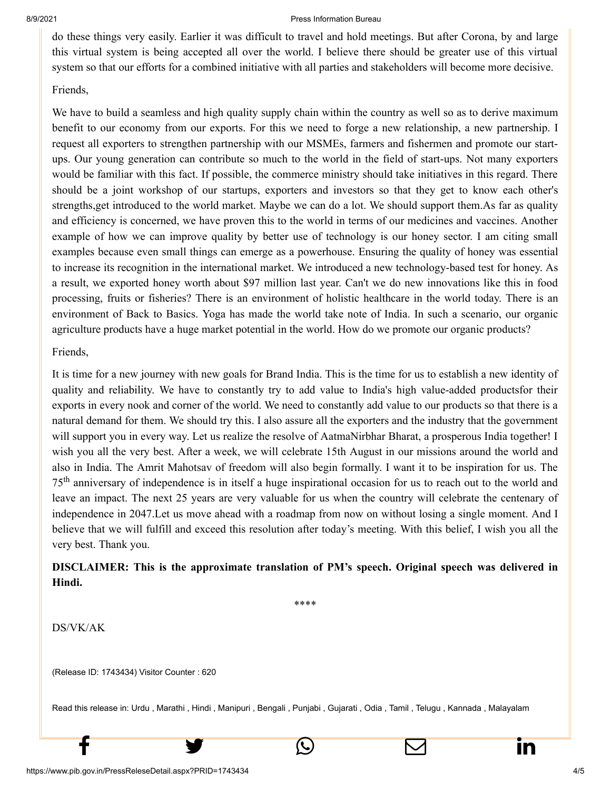#### 8/9/2021 Press Information Bureau

[do these things very](http://www.facebook.com/share.php?u=https://pib.gov.in/PressReleasePage.aspx?PRID=1743434) [easily. Earlier it was d](https://twitter.com/intent/tweet?url=https://pib.gov.in/PressReleasePage.aspx?PRID=1743434&text=English%20rendering%20of%20PM)[ifficult to travel and hol](https://api.whatsapp.com/send?text=https://pib.gov.in/PressReleasePage.aspx?PRID=1743434)[d meetings. But after C](https://mail.google.com/mail/?view=cm&fs=1&tf=1&to=&su=English%20rendering%20of%20PM)[orona, by and large](https://www.linkedin.com/shareArticle?mini=true&url=https://pib.gov.in/PressReleasePage.aspx?PRID=1743434&title=English%20rendering%20of%20PM) this virtual system is being accepted all over the world. I believe there should be greater use of this virtual system so that our efforts for a combined initiative with all parties and stakeholders will become more decisive.

## Friends,

We have to build a seamless and high quality supply chain within the country as well so as to derive maximum benefit to our economy from our exports. For this we need to forge a new relationship, a new partnership. I request all exporters to strengthen partnership with our MSMEs, farmers and fishermen and promote our startups. Our young generation can contribute so much to the world in the field of start-ups. Not many exporters would be familiar with this fact. If possible, the commerce ministry should take initiatives in this regard. There should be a joint workshop of our startups, exporters and investors so that they get to know each other's strengths,get introduced to the world market. Maybe we can do a lot. We should support them.As far as quality and efficiency is concerned, we have proven this to the world in terms of our medicines and vaccines. Another example of how we can improve quality by better use of technology is our honey sector. I am citing small examples because even small things can emerge as a powerhouse. Ensuring the quality of honey was essential to increase its recognition in the international market. We introduced a new technology-based test for honey. As a result, we exported honey worth about \$97 million last year. Can't we do new innovations like this in food processing, fruits or fisheries? There is an environment of holistic healthcare in the world today. There is an environment of Back to Basics. Yoga has made the world take note of India. In such a scenario, our organic agriculture products have a huge market potential in the world. How do we promote our organic products?

## Friends,

It is time for a new journey with new goals for Brand India. This is the time for us to establish a new identity of quality and reliability. We have to constantly try to add value to India's high value-added productsfor their exports in every nook and corner of the world. We need to constantly add value to our products so that there is a natural demand for them. We should try this. I also assure all the exporters and the industry that the government will support you in every way. Let us realize the resolve of AatmaNirbhar Bharat, a prosperous India together! I wish you all the very best. After a week, we will celebrate 15th August in our missions around the world and also in India. The Amrit Mahotsav of freedom will also begin formally. I want it to be inspiration for us. The 75<sup>th</sup> anniversary of independence is in itself a huge inspirational occasion for us to reach out to the world and leave an impact. The next 25 years are very valuable for us when the country will celebrate the centenary of independence in 2047.Let us move ahead with a roadmap from now on without losing a single moment. And I believe that we will fulfill and exceed this resolution after today's meeting. With this belief, I wish you all the very best. Thank you.

## **DISCLAIMER: This is the approximate translation of PM's speech. Original speech was delivered in Hindi.**

\*\*\*\*

DS/VK/AK

(Release ID: 1743434) Visitor Counter : 620

Read this release in: [Urdu](https://pib.gov.in/PressReleasePage.aspx?PRID=1743556) , [Marathi ,](https://pib.gov.in/PressReleasePage.aspx?PRID=1743528) [Hindi](https://pib.gov.in/PressReleasePage.aspx?PRID=1743435) , [Manipuri](https://pib.gov.in/PressReleasePage.aspx?PRID=1743786) , [Bengali ,](https://pib.gov.in/PressReleasePage.aspx?PRID=1743780) [Punjabi](https://pib.gov.in/PressReleasePage.aspx?PRID=1743696) , [Gujarati ,](https://pib.gov.in/PressReleasePage.aspx?PRID=1743456) [Odia ,](https://pib.gov.in/PressReleasePage.aspx?PRID=1743733) [Tamil ,](https://pib.gov.in/PressReleasePage.aspx?PRID=1743663) [Telugu ,](https://pib.gov.in/PressReleasePage.aspx?PRID=1743785) [Kannada ,](https://pib.gov.in/PressReleasePage.aspx?PRID=1743909) [Malayalam](https://pib.gov.in/PressReleasePage.aspx?PRID=1743692)

 $f \qquad \qquad \bullet \qquad \circ \qquad \qquad \Box \qquad \qquad \text{in}$